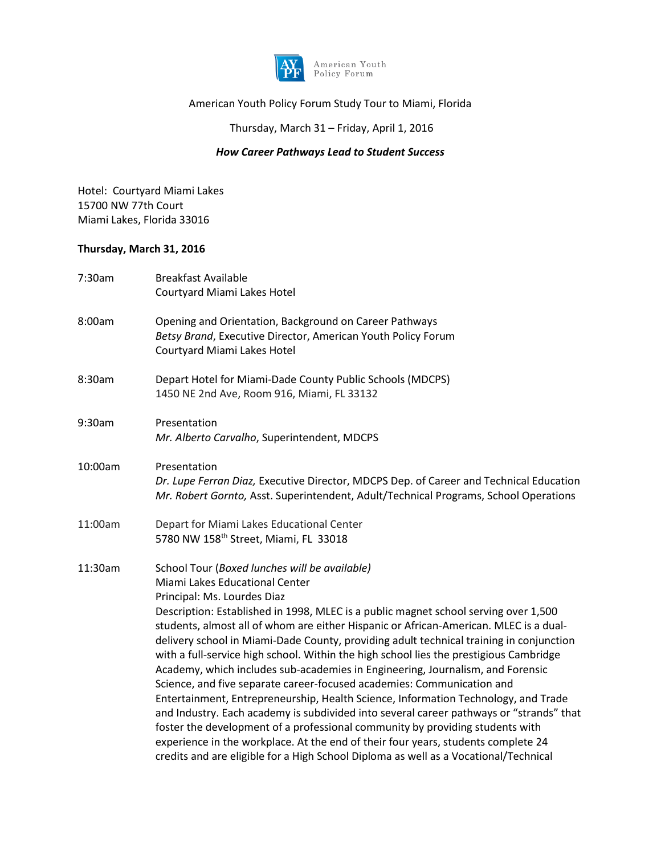

# American Youth Policy Forum Study Tour to Miami, Florida

## Thursday, March 31 – Friday, April 1, 2016

### *How Career Pathways Lead to Student Success*

Hotel: Courtyard Miami Lakes 15700 NW 77th Court Miami Lakes, Florida 33016

### **Thursday, March 31, 2016**

| 7:30am  | <b>Breakfast Available</b><br>Courtyard Miami Lakes Hotel                                                                                                                                                                                                                                                                                                                                                                                                                                                                                                                                                                                                                                                                                                                                                                                                                                                                                                                                                                                                                                      |
|---------|------------------------------------------------------------------------------------------------------------------------------------------------------------------------------------------------------------------------------------------------------------------------------------------------------------------------------------------------------------------------------------------------------------------------------------------------------------------------------------------------------------------------------------------------------------------------------------------------------------------------------------------------------------------------------------------------------------------------------------------------------------------------------------------------------------------------------------------------------------------------------------------------------------------------------------------------------------------------------------------------------------------------------------------------------------------------------------------------|
| 8:00am  | Opening and Orientation, Background on Career Pathways<br>Betsy Brand, Executive Director, American Youth Policy Forum<br>Courtyard Miami Lakes Hotel                                                                                                                                                                                                                                                                                                                                                                                                                                                                                                                                                                                                                                                                                                                                                                                                                                                                                                                                          |
| 8:30am  | Depart Hotel for Miami-Dade County Public Schools (MDCPS)<br>1450 NE 2nd Ave, Room 916, Miami, FL 33132                                                                                                                                                                                                                                                                                                                                                                                                                                                                                                                                                                                                                                                                                                                                                                                                                                                                                                                                                                                        |
| 9:30am  | Presentation<br>Mr. Alberto Carvalho, Superintendent, MDCPS                                                                                                                                                                                                                                                                                                                                                                                                                                                                                                                                                                                                                                                                                                                                                                                                                                                                                                                                                                                                                                    |
| 10:00am | Presentation<br>Dr. Lupe Ferran Diaz, Executive Director, MDCPS Dep. of Career and Technical Education<br>Mr. Robert Gornto, Asst. Superintendent, Adult/Technical Programs, School Operations                                                                                                                                                                                                                                                                                                                                                                                                                                                                                                                                                                                                                                                                                                                                                                                                                                                                                                 |
| 11:00am | Depart for Miami Lakes Educational Center<br>5780 NW 158th Street, Miami, FL 33018                                                                                                                                                                                                                                                                                                                                                                                                                                                                                                                                                                                                                                                                                                                                                                                                                                                                                                                                                                                                             |
| 11:30am | School Tour (Boxed lunches will be available)<br>Miami Lakes Educational Center<br>Principal: Ms. Lourdes Diaz<br>Description: Established in 1998, MLEC is a public magnet school serving over 1,500<br>students, almost all of whom are either Hispanic or African-American. MLEC is a dual-<br>delivery school in Miami-Dade County, providing adult technical training in conjunction<br>with a full-service high school. Within the high school lies the prestigious Cambridge<br>Academy, which includes sub-academies in Engineering, Journalism, and Forensic<br>Science, and five separate career-focused academies: Communication and<br>Entertainment, Entrepreneurship, Health Science, Information Technology, and Trade<br>and Industry. Each academy is subdivided into several career pathways or "strands" that<br>foster the development of a professional community by providing students with<br>experience in the workplace. At the end of their four years, students complete 24<br>credits and are eligible for a High School Diploma as well as a Vocational/Technical |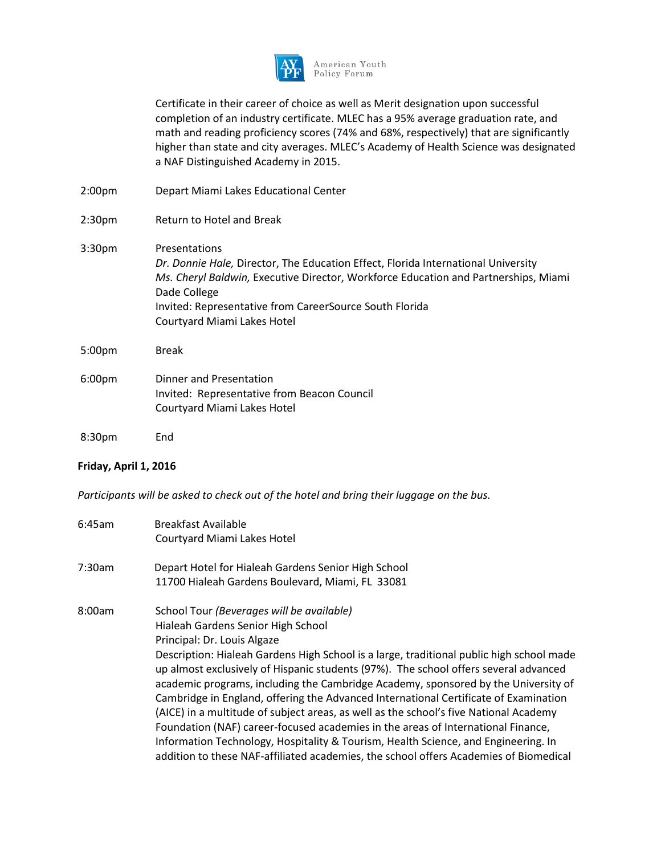

American Youth Policy Forum

Certificate in their career of choice as well as Merit designation upon successful completion of an industry certificate. MLEC has a 95% average graduation rate, and math and reading proficiency scores (74% and 68%, respectively) that are significantly higher than state and city averages. MLEC's Academy of Health Science was designated a NAF Distinguished Academy in 2015.

2:00pm Depart Miami Lakes Educational Center 2:30pm Return to Hotel and Break 3:30pm Presentations *Dr. Donnie Hale,* Director, The Education Effect, Florida International University *Ms. Cheryl Baldwin,* Executive Director, Workforce Education and Partnerships, Miami Dade College Invited: Representative from CareerSource South Florida Courtyard Miami Lakes Hotel 5:00pm Break 6:00pm Dinner and Presentation Invited: Representative from Beacon Council Courtyard Miami Lakes Hotel 8:30pm End

#### **Friday, April 1, 2016**

*Participants will be asked to check out of the hotel and bring their luggage on the bus.*

| $6:45$ am | <b>Breakfast Available</b>                                                                                                                                                                                                                                             |
|-----------|------------------------------------------------------------------------------------------------------------------------------------------------------------------------------------------------------------------------------------------------------------------------|
|           | Courtyard Miami Lakes Hotel                                                                                                                                                                                                                                            |
| 7:30am    | Depart Hotel for Hialeah Gardens Senior High School                                                                                                                                                                                                                    |
|           | 11700 Hialeah Gardens Boulevard, Miami, FL 33081                                                                                                                                                                                                                       |
| 8:00am    | School Tour (Beverages will be available)                                                                                                                                                                                                                              |
|           | Hialeah Gardens Senior High School                                                                                                                                                                                                                                     |
|           | Principal: Dr. Louis Algaze                                                                                                                                                                                                                                            |
|           | Description: Hialeah Gardens High School is a large, traditional public high school made<br>up almost exclusively of Hispanic students (97%). The school offers several advanced<br>academic programs, including the Cambridge Academy, sponsored by the University of |
|           | Cambridge in England, offering the Advanced International Certificate of Examination                                                                                                                                                                                   |
|           | (AICE) in a multitude of subject areas, as well as the school's five National Academy                                                                                                                                                                                  |
|           | Foundation (NAF) career-focused academies in the areas of International Finance,                                                                                                                                                                                       |
|           | Information Technology, Hospitality & Tourism, Health Science, and Engineering. In                                                                                                                                                                                     |
|           | addition to these NAF-affiliated academies, the school offers Academies of Biomedical                                                                                                                                                                                  |